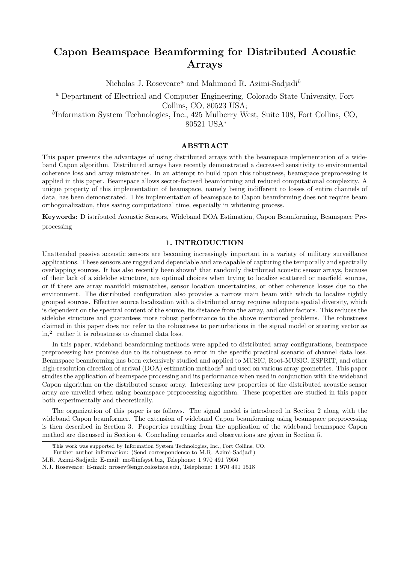# Capon Beamspace Beamforming for Distributed Acoustic Arrays

Nicholas J. Roseveare<sup>a</sup> and Mahmood R. Azimi-Sadjadi<sup>b</sup>

<sup>a</sup> Department of Electrical and Computer Engineering, Colorado State University, Fort Collins, CO, 80523 USA;

b Information System Technologies, Inc., 425 Mulberry West, Suite 108, Fort Collins, CO, 80521 USA<sup>∗</sup>

# ABSTRACT

This paper presents the advantages of using distributed arrays with the beamspace implementation of a wideband Capon algorithm. Distributed arrays have recently demonstrated a decreased sensitivity to environmental coherence loss and array mismatches. In an attempt to build upon this robustness, beamspace preprocessing is applied in this paper. Beamspace allows sector-focused beamforming and reduced computational complexity. A unique property of this implementation of beamspace, namely being indifferent to losses of entire channels of data, has been demonstrated. This implementation of beamspace to Capon beamforming does not require beam orthogonalization, thus saving computational time, especially in whitening process.

Keywords: D istributed Acoustic Sensors, Wideband DOA Estimation, Capon Beamforming, Beamspace Preprocessing

#### 1. INTRODUCTION

Unattended passive acoustic sensors are becoming increasingly important in a variety of military surveillance applications. These sensors are rugged and dependable and are capable of capturing the temporally and spectrally overlapping sources. It has also recently been shown<sup>1</sup> that randomly distributed acoustic sensor arrays, because of their lack of a sidelobe structure, are optimal choices when trying to localize scattered or nearfield sources, or if there are array manifold mismatches, sensor location uncertainties, or other coherence losses due to the environment. The distributed configuration also provides a narrow main beam with which to localize tightly grouped sources. Effective source localization with a distributed array requires adequate spatial diversity, which is dependent on the spectral content of the source, its distance from the array, and other factors. This reduces the sidelobe structure and guarantees more robust performance to the above mentioned problems. The robustness claimed in this paper does not refer to the robustness to perturbations in the signal model or steering vector as in,<sup>2</sup> rather it is robustness to channel data loss.

In this paper, wideband beamforming methods were applied to distributed array configurations, beamspace preprocessing has promise due to its robustness to error in the specific practical scenario of channel data loss. Beamspace beamforming has been extensively studied and applied to MUSIC, Root-MUSIC, ESPRIT, and other high-resolution direction of arrival (DOA) estimation methods<sup>3</sup> and used on various array geometries. This paper studies the application of beamspace processing and its performance when used in conjunction with the wideband Capon algorithm on the distributed sensor array. Interesting new properties of the distributed acoustic sensor array are unveiled when using beamspace preprocessing algorithm. These properties are studied in this paper both experimentally and theoretically.

The organization of this paper is as follows. The signal model is introduced in Section 2 along with the wideband Capon beamformer. The extension of wideband Capon beamforming using beamspace preprocessing is then described in Section 3. Properties resulting from the application of the wideband beamspace Capon method are discussed in Section 4. Concluding remarks and observations are given in Section 5.

This work was supported by Information System Technologies, Inc., Fort Collins, CO.

Further author information: (Send correspondence to M.R. Azimi-Sadjadi)

M.R. Azimi-Sadjadi: E-mail: mo@infsyst.biz, Telephone: 1 970 491 7956

N.J. Roseveare: E-mail: nrosev@engr.colostate.edu, Telephone: 1 970 491 1518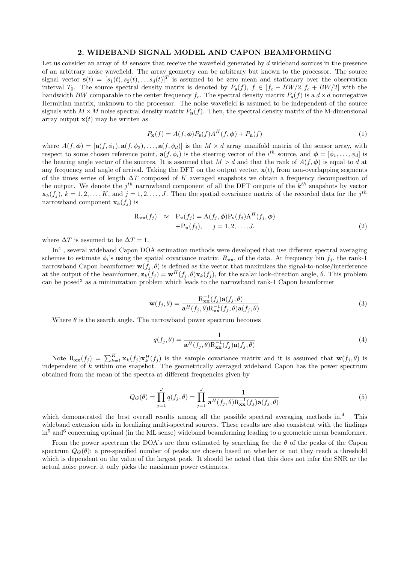# 2. WIDEBAND SIGNAL MODEL AND CAPON BEAMFORMING

Let us consider an array of M sensors that receive the wavefield generated by d wideband sources in the presence of an arbitrary noise wavefield. The array geometry can be arbitrary but known to the processor. The source signal vector  $\mathbf{s}(t) = [s_1(t), s_2(t), \dots s_d(t)]^T$  is assumed to be zero mean and stationary over the observation interval  $T_0$ . The source spectral density matrix is denoted by  $P_s(f)$ ,  $f \in [f_c - BW/2, f_c + BW/2]$  with the bandwidth BW comparable to the center frequency  $f_c$ . The spectral density matrix  $P_s(f)$  is a  $d \times d$  nonnegative Hermitian matrix, unknown to the processor. The noise wavefield is assumed to be independent of the source signals with  $M \times M$  noise spectral density matrix  $P_n(f)$ . Then, the spectral density matrix of the M-dimensional array output  $\mathbf{x}(t)$  may be written as

$$
P_{\mathbf{x}}(f) = A(f, \phi)P_{\mathbf{s}}(f)A^{H}(f, \phi) + P_{\mathbf{n}}(f)
$$
\n(1)

where  $A(f, \phi) = [\mathbf{a}(f, \phi_1), \mathbf{a}(f, \phi_2), \dots, \mathbf{a}(f, \phi_d)]$  is the  $M \times d$  array manifold matrix of the sensor array, with respect to some chosen reference point,  $\mathbf{a}(f, \phi_i)$  is the steering vector of the  $i^{th}$  source, and  $\boldsymbol{\phi} = [\phi_1, \dots, \phi_d]$  is the bearing angle vector of the sources. It is assumed that  $M > d$  and that the rank of  $A(f, \phi)$  is equal to d at any frequency and angle of arrival. Taking the DFT on the output vector,  $\mathbf{x}(t)$ , from non-overlapping segments of the times series of length  $\Delta T$  composed of K averaged snapshots we obtain a frequency decomposition of the output. We denote the  $j^{th}$  narrowband component of all the DFT outputs of the  $k^{th}$  snapshots by vector  $\mathbf{x}_k(f_j)$ ,  $k = 1, 2, \ldots, K$ , and  $j = 1, 2, \ldots, J$ . Then the spatial covariance matrix of the recorded data for the  $j^{th}$ narrowband component  $\mathbf{x}_k(f_i)$  is

$$
\begin{aligned} \mathbf{R}_{\mathbf{xx}}(f_j) &\approx \mathbf{P}_{\mathbf{x}}(f_j) = \mathbf{A}(f_j, \phi) \mathbf{P}_{\mathbf{s}}(f_j) \mathbf{A}^H(f_j, \phi) \\ &+ \mathbf{P}_{\mathbf{n}}(f_j), \quad j = 1, 2, \dots, J. \end{aligned} \tag{2}
$$

where  $\Delta T$  is assumed to be  $\Delta T = 1$ .

In<sup>4</sup>, several wideband Capon DOA estimation methods were developed that use different spectral averaging schemes to estimate  $\phi_i$ 's using the spatial covariance matrix,  $R_{xx}$ , of the data. At frequency bin  $f_j$ , the rank-1 narrowband Capon beamformer  $\mathbf{w}(f_i, \theta)$  is defined as the vector that maximizes the signal-to-noise/interference at the output of the beamformer,  $\mathbf{z}_k(f_i) = \mathbf{w}^H(f_i, \theta) \mathbf{x}_k(f_i)$ , for the scalar look-direction angle,  $\theta$ . This problem can be posed<sup>3</sup> as a minimization problem which leads to the narrowband rank-1 Capon beamformer

$$
\mathbf{w}(f_j, \theta) = \frac{\mathbf{R}_{\mathbf{xx}}^{-1}(f_j)\mathbf{a}(f_j, \theta)}{\mathbf{a}^H(f_j, \theta)\mathbf{R}_{\mathbf{xx}}^{-1}(f_j, \theta)\mathbf{a}(f_j, \theta)} \tag{3}
$$

Where  $\theta$  is the search angle. The narrowband power spectrum becomes

$$
q(f_j, \theta) = \frac{1}{\mathbf{a}^H(f_j, \theta) \mathbf{R}_{\mathbf{xx}}^{-1}(f_j) \mathbf{a}(f_j, \theta)}
$$
(4)

Note  $R_{xx}(f_j) = \sum_{k=1}^K \mathbf{x}_k(f_j) \mathbf{x}_k^H(f_j)$  is the sample covariance matrix and it is assumed that  $\mathbf{w}(f_j, \theta)$  is independent of k within one snapshot. The geometrically averaged wideband Capon has the power spectrum obtained from the mean of the spectra at different frequencies given by

$$
Q_G(\theta) = \prod_{j=1}^J q(f_j, \theta) = \prod_{j=1}^J \frac{1}{\mathbf{a}^H(f_j, \theta) \mathbf{R}_{\mathbf{xx}}^{-1}(f_j) \mathbf{a}(f_j, \theta)}
$$
(5)

which demonstrated the best overall results among all the possible spectral averaging methods in.<sup>4</sup> This wideband extension aids in localizing multi-spectral sources. These results are also consistent with the findings in<sup>5</sup> and<sup>6</sup> concerning optimal (in the ML sense) wideband beamforming leading to a geometric mean beamformer.

From the power spectrum the DOA's are then estimated by searching for the  $\theta$  of the peaks of the Capon spectrum  $Q_G(\theta)$ ; a pre-specified number of peaks are chosen based on whether or not they reach a threshold which is dependent on the value of the largest peak. It should be noted that this does not infer the SNR or the actual noise power, it only picks the maximum power estimates.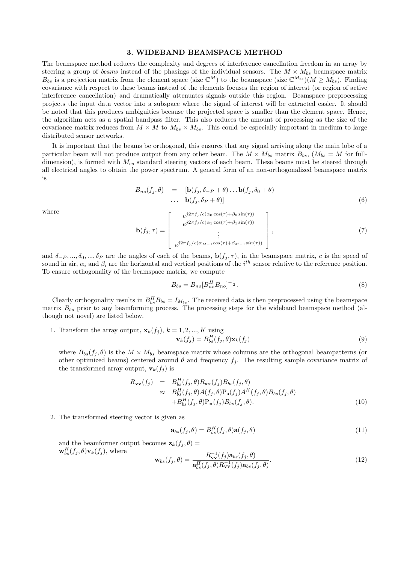#### 3. WIDEBAND BEAMSPACE METHOD

The beamspace method reduces the complexity and degrees of interference cancellation freedom in an array by steering a group of beams instead of the phasings of the individual sensors. The  $M \times M_{bs}$  beamspace matrix  $B_{bs}$  is a projection matrix from the element space (size  $\mathbb{C}^{M}$ ) to the beamspace (size  $\mathbb{C}^{M_{bs}}$ )( $M \ge M_{bs}$ ). Finding covariance with respect to these beams instead of the elements focuses the region of interest (or region of active interference cancellation) and dramatically attenuates signals outside this region. Beamspace preprocessing projects the input data vector into a subspace where the signal of interest will be extracted easier. It should be noted that this produces ambiguities because the projected space is smaller than the element space. Hence, the algorithm acts as a spatial bandpass filter. This also reduces the amount of processing as the size of the covariance matrix reduces from  $M \times M$  to  $M_{bs} \times M_{bs}$ . This could be especially important in medium to large distributed sensor networks.

It is important that the beams be orthogonal, this ensures that any signal arriving along the main lobe of a particular beam will not produce output from any other beam. The  $M \times M_{bs}$  matrix  $B_{bs}$ ,  $(M_{bs} = M$  for fulldimension), is formed with  $M_{bs}$  standard steering vectors of each beam. These beams must be steered through all electrical angles to obtain the power spectrum. A general form of an non-orthogonalized beamspace matrix is

$$
B_{no}(f_j, \theta) = [\mathbf{b}(f_j, \delta_{-P} + \theta) \dots \mathbf{b}(f_j, \delta_0 + \theta) \n\cdots \mathbf{b}(f_j, \delta_P + \theta)]
$$
\n(6)

where

$$
\mathbf{b}(f_j, \tau) = \begin{bmatrix} e^{j2\pi f_j/c(\alpha_0 \cos(\tau) + \beta_0 \sin(\tau))} \\ e^{j2\pi f_j/c(\alpha_1 \cos(\tau) + \beta_1 \sin(\tau))} \\ \vdots \\ e^{j2\pi f_j/c(\alpha_{M-1} \cos(\tau) + \beta_{M-1} \sin(\tau))} \end{bmatrix},
$$
(7)

and  $\delta_{-P},...,\delta_0,...,\delta_P$  are the angles of each of the beams,  $\mathbf{b}(f_j,\tau)$ , in the beamspace matrix, c is the speed of sound in air,  $\alpha_i$  and  $\beta_i$  are the horizontal and vertical positions of the  $i^{th}$  sensor relative to the reference position. To ensure orthogonality of the beamspace matrix, we compute

$$
B_{bs} = B_{no} [B_{no}^H B_{no}]^{-\frac{1}{2}}.
$$
\n(8)

Clearly orthogonality results in  $B_{bs}^H B_{bs} = I_{M_{bs}}$ . The received data is then preprocessed using the beamspace matrix  $B_{bs}$  prior to any beamforming process. The processing steps for the wideband beamspace method (although not novel) are listed below.

1. Transform the array output,  $\mathbf{x}_k(f_i)$ ,  $k = 1, 2, ..., K$  using  $\mathbf{v}_k(f_j) = B_{bs}^H(f_j, \theta) \mathbf{x}_k(f_j)$  (9)

where  $B_{bs}(f_j, \theta)$  is the  $M \times M_{bs}$  beamspace matrix whose columns are the orthogonal beampatterns (or other optimized beams) centered around  $\theta$  and frequency  $f_j$ . The resulting sample covariance matrix of the transformed array output,  $\mathbf{v}_k(f_j)$  is

$$
R_{\mathbf{vv}}(f_j) = B_{bs}^H(f_j, \theta) R_{\mathbf{xx}}(f_j) B_{bs}(f_j, \theta)
$$
  
\n
$$
\approx B_{bs}^H(f_j, \theta) A(f_j, \theta) P_{\mathbf{s}}(f_j) A^H(f_j, \theta) B_{bs}(f_j, \theta)
$$
  
\n
$$
+ B_{bs}^H(f_j, \theta) P_{\mathbf{n}}(f_j) B_{bs}(f_j, \theta). \tag{10}
$$

2. The transformed steering vector is given as

$$
\mathbf{a}_{bs}(f_j, \theta) = B_{bs}^H(f_j, \theta) \mathbf{a}(f_j, \theta) \tag{11}
$$

and the beamformer output becomes  $\mathbf{z}_k(f_i, \theta) =$  $\mathbf{w}_{bs}^{H}(f_j,\theta)\mathbf{v}_k(f_j)$ , where

$$
\mathbf{w}_{bs}(f_j, \theta) = \frac{R_{\mathbf{vv}}^{-1}(f_j)\mathbf{a}_{bs}(f_j, \theta)}{\mathbf{a}_{bs}^H(f_j, \theta)R_{\mathbf{vv}}^{-1}(f_j)\mathbf{a}_{bs}(f_j, \theta)}.
$$
(12)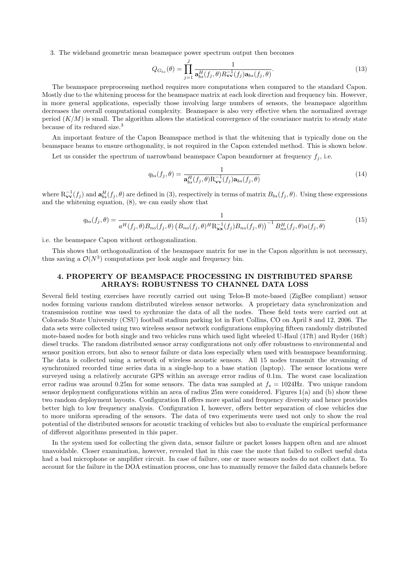3. The wideband geometric mean beamspace power spectrum output then becomes

$$
Q_{G_{bs}}(\theta) = \prod_{j=1}^{J} \frac{1}{\mathbf{a}_{bs}^{H}(f_j, \theta) R_{\mathbf{vv}}^{-1}(f_j) \mathbf{a}_{bs}(f_j, \theta)}.
$$
\n(13)

The beamspace preprocessing method requires more computations when compared to the standard Capon. Mostly due to the whitening process for the beamspace matrix at each look direction and frequency bin. However, in more general applications, especially those involving large numbers of sensors, the beamspace algorithm decreases the overall computational complexity. Beamspace is also very effective when the normalized average period  $(K/M)$  is small. The algorithm allows the statistical convergence of the covariance matrix to steady state because of its reduced size.<sup>3</sup>

An important feature of the Capon Beamspace method is that the whitening that is typically done on the beamspace beams to ensure orthogonality, is not required in the Capon extended method. This is shown below.

Let us consider the spectrum of narrowband beamspace Capon beamformer at frequency  $f_j$ , i.e.

$$
q_{bs}(f_j, \theta) = \frac{1}{\mathbf{a}_{bs}^H(f_j, \theta) \mathbf{R}_{\mathbf{vv}}^{-1}(f_j) \mathbf{a}_{bs}(f_j, \theta)}
$$
(14)

where  $\mathbf{R}_{\mathbf{vv}}^{-1}(f_j)$  and  $\mathbf{a}_{bs}^H(f_j, \theta)$  are defined in (3), respectively in terms of matrix  $B_{bs}(f_j, \theta)$ . Using these expressions and the whitening equation, (8), we can easily show that

$$
q_{bs}(f_j, \theta) = \frac{1}{a^H(f_j, \theta)B_{no}(f_j, \theta)\left(B_{no}(f_j, \theta)^H \mathcal{R}_{\mathbf{xx}}^{-1}(f_j)B_{no}(f_j, \theta)\right)^{-1}B_{no}^H(f_j, \theta)a(f_j, \theta)}
$$
(15)

i.e. the beamspace Capon without orthogonalization.

This shows that orthogonalization of the beamspace matrix for use in the Capon algorithm is not necessary, thus saving a  $\mathcal{O}(N^3)$  computations per look angle and frequency bin.

# 4. PROPERTY OF BEAMSPACE PROCESSING IN DISTRIBUTED SPARSE ARRAYS: ROBUSTNESS TO CHANNEL DATA LOSS

Several field testing exercises have recently carried out using Telos-B mote-based (ZigBee compliant) sensor nodes forming various random distributed wireless sensor networks. A proprietary data synchronization and transmission routine was used to sychronize the data of all the nodes. These field tests were carried out at Colorado State University (CSU) football stadium parking lot in Fort Collins, CO on April 8 and 12, 2006. The data sets were collected using two wireless sensor network configurations employing fifteen randomly distributed mote-based nodes for both single and two vehicles runs which used light wheeled U-Haul (17ft) and Ryder (16ft) diesel trucks. The random distributed sensor array configurations not only offer robustness to environmental and sensor position errors, but also to sensor failure or data loss especially when used with beamspace beamforming. The data is collected using a network of wireless acoustic sensors. All 15 nodes transmit the streaming of synchronized recorded time series data in a single-hop to a base station (laptop). The sensor locations were surveyed using a relatively accurate GPS within an average error radius of 0.1m. The worst case localization error radius was around 0.25m for some sensors. The data was sampled at  $f_s = 1024$ Hz. Two unique random sensor deployment configurations within an area of radius 25m were considered. Figures 1(a) and (b) show these two random deployment layouts. Configuration II offers more spatial and frequency diversity and hence provides better high to low frequency analysis. Configuration I, however, offers better separation of close vehicles due to more uniform spreading of the sensors. The data of two experiments were used not only to show the real potential of the distributed sensors for acoustic tracking of vehicles but also to evaluate the empirical performance of different algorithms presented in this paper.

In the system used for collecting the given data, sensor failure or packet losses happen often and are almost unavoidable. Closer examination, however, revealed that in this case the mote that failed to collect useful data had a bad microphone or amplifier circuit. In case of failure, one or more sensors nodes do not collect data. To account for the failure in the DOA estimation process, one has to manually remove the failed data channels before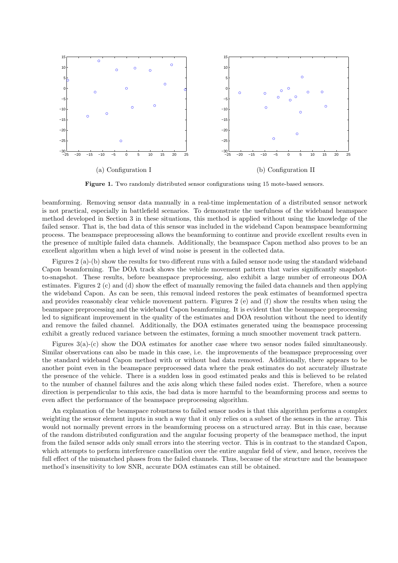

Figure 1. Two randomly distributed sensor configurations using 15 mote-based sensors.

beamforming. Removing sensor data manually in a real-time implementation of a distributed sensor network is not practical, especially in battlefield scenarios. To demonstrate the usefulness of the wideband beamspace method developed in Section 3 in these situations, this method is applied without using the knowledge of the failed sensor. That is, the bad data of this sensor was included in the wideband Capon beamspace beamforming process. The beamspace preprocessing allows the beamforming to continue and provide excellent results even in the presence of multiple failed data channels. Additionally, the beamspace Capon method also proves to be an excellent algorithm when a high level of wind noise is present in the collected data.

Figures 2 (a)-(b) show the results for two different runs with a failed sensor node using the standard wideband Capon beamforming. The DOA track shows the vehicle movement pattern that varies significantly snapshotto-snapshot. These results, before beamspace preprocessing, also exhibit a large number of erroneous DOA estimates. Figures 2 (c) and (d) show the effect of manually removing the failed data channels and then applying the wideband Capon. As can be seen, this removal indeed restores the peak estimates of beamformed spectra and provides reasonably clear vehicle movement pattern. Figures 2 (e) and (f) show the results when using the beamspace preprocessing and the wideband Capon beamforming. It is evident that the beamspace preprocessing led to significant improvement in the quality of the estimates and DOA resolution without the need to identify and remove the failed channel. Additionally, the DOA estimates generated using the beamspace processing exhibit a greatly reduced variance between the estimates, forming a much smoother movement track pattern.

Figures 3(a)-(c) show the DOA estimates for another case where two sensor nodes failed simultaneously. Similar observations can also be made in this case, i.e. the improvements of the beamspace preprocessing over the standard wideband Capon method with or without bad data removed. Additionally, there appears to be another point even in the beamspace preprocessed data where the peak estimates do not accurately illustrate the presence of the vehicle. There is a sudden loss in good estimated peaks and this is believed to be related to the number of channel failures and the axis along which these failed nodes exist. Therefore, when a source direction is perpendicular to this axis, the bad data is more harmful to the beamforming process and seems to even affect the performance of the beamspace preprocessing algorithm.

An explanation of the beamspace robustness to failed sensor nodes is that this algorithm performs a complex weighting the sensor element inputs in such a way that it only relies on a subset of the sensors in the array. This would not normally prevent errors in the beamforming process on a structured array. But in this case, because of the random distributed configuration and the angular focusing property of the beamspace method, the input from the failed sensor adds only small errors into the steering vector. This is in contrast to the standard Capon, which attempts to perform interference cancellation over the entire angular field of view, and hence, receives the full effect of the mismatched phases from the failed channels. Thus, because of the structure and the beamspace method's insensitivity to low SNR, accurate DOA estimates can still be obtained.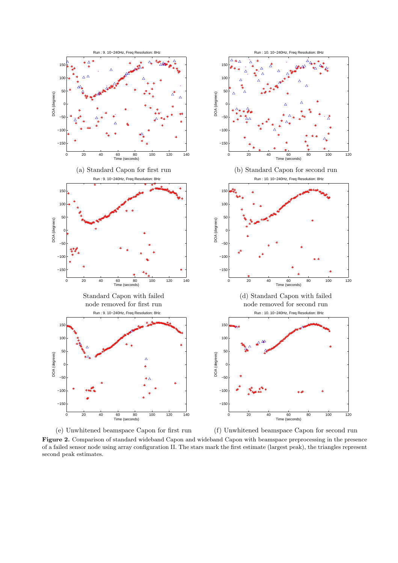

(e) Unwhitened beamspace Capon for first run (f) Unwhitened beamspace Capon for second run

Figure 2. Comparison of standard wideband Capon and wideband Capon with beamspace preprocessing in the presence of a failed sensor node using array configuration II. The stars mark the first estimate (largest peak), the triangles represent second peak estimates.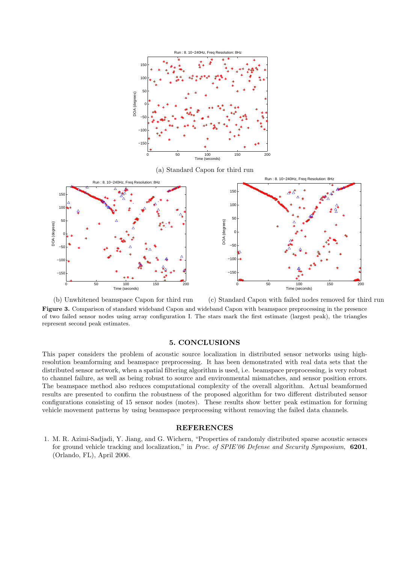

(a) Standard Capon for third run



(b) Unwhitened beamspace Capon for third run (c) Standard Capon with failed nodes removed for third run Figure 3. Comparison of standard wideband Capon and wideband Capon with beamspace preprocessing in the presence of two failed sensor nodes using array configuration I. The stars mark the first estimate (largest peak), the triangles represent second peak estimates.

# 5. CONCLUSIONS

This paper considers the problem of acoustic source localization in distributed sensor networks using highresolution beamforming and beamspace preprocessing. It has been demonstrated with real data sets that the distributed sensor network, when a spatial filtering algorithm is used, i.e. beamspace preprocessing, is very robust to channel failure, as well as being robust to source and environmental mismatches, and sensor position errors. The beamspace method also reduces computational complexity of the overall algorithm. Actual beamformed results are presented to confirm the robustness of the proposed algorithm for two different distributed sensor configurations consisting of 15 sensor nodes (motes). These results show better peak estimation for forming vehicle movement patterns by using beamspace preprocessing without removing the failed data channels.

# **REFERENCES**

1. M. R. Azimi-Sadjadi, Y. Jiang, and G. Wichern, "Properties of randomly distributed sparse acoustic sensors for ground vehicle tracking and localization," in Proc. of SPIE'06 Defense and Security Symposium, 6201, (Orlando, FL), April 2006.